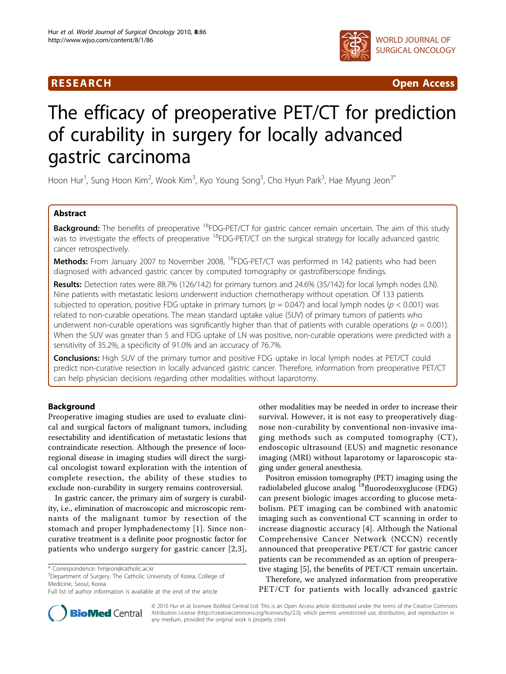

**RESEARCH Open Access** (2009) 2014 12:30 and 2014 2015 2016 2017 2018 2019 2014 2015 2016 2017 2018 2017 2018 201

# The efficacy of preoperative PET/CT for prediction of curability in surgery for locally advanced gastric carcinoma

Hoon Hur<sup>1</sup>, Sung Hoon Kim<sup>2</sup>, Wook Kim<sup>3</sup>, Kyo Young Song<sup>3</sup>, Cho Hyun Park<sup>3</sup>, Hae Myung Jeon<sup>3\*</sup>

# Abstract

Background: The benefits of preoperative <sup>18</sup>FDG-PET/CT for gastric cancer remain uncertain. The aim of this study was to investigate the effects of preoperative <sup>18</sup>FDG-PET/CT on the surgical strategy for locally advanced gastric cancer retrospectively.

Methods: From January 2007 to November 2008, <sup>18</sup>FDG-PET/CT was performed in 142 patients who had been diagnosed with advanced gastric cancer by computed tomography or gastrofiberscope findings.

Results: Detection rates were 88.7% (126/142) for primary tumors and 24.6% (35/142) for local lymph nodes (LN). Nine patients with metastatic lesions underwent induction chemotherapy without operation. Of 133 patients subjected to operation, positive FDG uptake in primary tumors ( $p = 0.047$ ) and local lymph nodes ( $p < 0.001$ ) was related to non-curable operations. The mean standard uptake value (SUV) of primary tumors of patients who underwent non-curable operations was significantly higher than that of patients with curable operations ( $p = 0.001$ ). When the SUV was greater than 5 and FDG uptake of LN was positive, non-curable operations were predicted with a sensitivity of 35.2%, a specificity of 91.0% and an accuracy of 76.7%.

**Conclusions:** High SUV of the primary tumor and positive FDG uptake in local lymph nodes at PET/CT could predict non-curative resection in locally advanced gastric cancer. Therefore, information from preoperative PET/CT can help physician decisions regarding other modalities without laparotomy.

# Background

Preoperative imaging studies are used to evaluate clinical and surgical factors of malignant tumors, including resectability and identification of metastatic lesions that contraindicate resection. Although the presence of locoregional disease in imaging studies will direct the surgical oncologist toward exploration with the intention of complete resection, the ability of these studies to exclude non-curability in surgery remains controversial.

In gastric cancer, the primary aim of surgery is curability, i.e., elimination of macroscopic and microscopic remnants of the malignant tumor by resection of the stomach and proper lymphadenectomy [[1\]](#page-5-0). Since noncurative treatment is a definite poor prognostic factor for patients who undergo surgery for gastric cancer [[2](#page-5-0),[3\]](#page-5-0),

<sup>3</sup>Department of Surgery, The Catholic University of Korea, College of Medicine, Seoul, Korea

other modalities may be needed in order to increase their survival. However, it is not easy to preoperatively diagnose non-curability by conventional non-invasive imaging methods such as computed tomography (CT), endoscopic ultrasound (EUS) and magnetic resonance imaging (MRI) without laparotomy or laparoscopic staging under general anesthesia.

Positron emission tomography (PET) imaging using the radiolabeled glucose analog  $^{18}$ fluorodeoxyglucose (FDG) can present biologic images according to glucose metabolism. PET imaging can be combined with anatomic imaging such as conventional CT scanning in order to increase diagnostic accuracy [\[4](#page-5-0)]. Although the National Comprehensive Cancer Network (NCCN) recently announced that preoperative PET/CT for gastric cancer patients can be recommended as an option of preoperative staging [\[5](#page-5-0)], the benefits of PET/CT remain uncertain.

Therefore, we analyzed information from preoperative PET/CT for patients with locally advanced gastric



© 2010 Hur et al; licensee BioMed Central Ltd. This is an Open Access article distributed under the terms of the Creative Commons Attribution License [\(http://creativecommons.org/licenses/by/2.0](http://creativecommons.org/licenses/by/2.0)), which permits unrestricted use, distribution, and reproduction in any medium, provided the original work is properly cited.

<sup>\*</sup> Correspondence: [hmjeon@catholic.ac.kr](mailto:hmjeon@catholic.ac.kr)

Full list of author information is available at the end of the article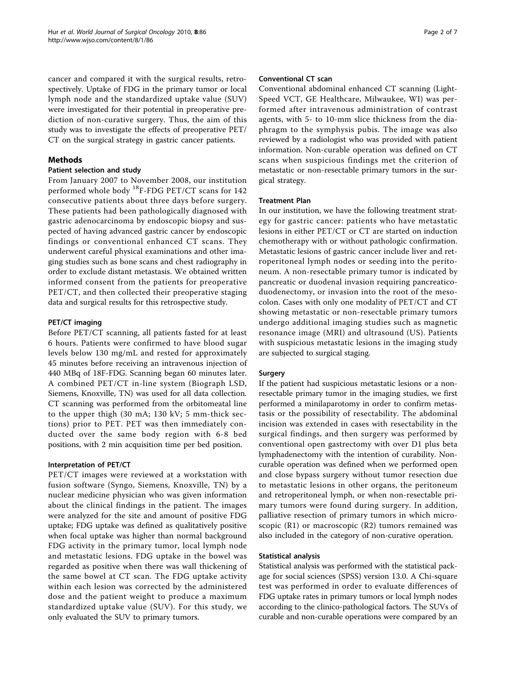cancer and compared it with the surgical results, retrospectively. Uptake of FDG in the primary tumor or local lymph node and the standardized uptake value (SUV) were investigated for their potential in preoperative prediction of non-curative surgery. Thus, the aim of this study was to investigate the effects of preoperative PET/ CT on the surgical strategy in gastric cancer patients.

# Methods

## Patient selection and study

From January 2007 to November 2008, our institution performed whole body  $^{18}$ F-FDG PET/CT scans for 142 consecutive patients about three days before surgery. These patients had been pathologically diagnosed with gastric adenocarcinoma by endoscopic biopsy and suspected of having advanced gastric cancer by endoscopic findings or conventional enhanced CT scans. They underwent careful physical examinations and other imaging studies such as bone scans and chest radiography in order to exclude distant metastasis. We obtained written informed consent from the patients for preoperative PET/CT, and then collected their preoperative staging data and surgical results for this retrospective study.

# PET/CT imaging

Before PET/CT scanning, all patients fasted for at least 6 hours. Patients were confirmed to have blood sugar levels below 130 mg/mL and rested for approximately 45 minutes before receiving an intravenous injection of 440 MBq of 18F-FDG. Scanning began 60 minutes later. A combined PET/CT in-line system (Biograph LSD, Siemens, Knoxville, TN) was used for all data collection. CT scanning was performed from the orbitomeatal line to the upper thigh (30 mA; 130 kV; 5 mm-thick sections) prior to PET. PET was then immediately conducted over the same body region with 6-8 bed positions, with 2 min acquisition time per bed position.

## Interpretation of PET/CT

PET/CT images were reviewed at a workstation with fusion software (Syngo, Siemens, Knoxville, TN) by a nuclear medicine physician who was given information about the clinical findings in the patient. The images were analyzed for the site and amount of positive FDG uptake; FDG uptake was defined as qualitatively positive when focal uptake was higher than normal background FDG activity in the primary tumor, local lymph node and metastatic lesions. FDG uptake in the bowel was regarded as positive when there was wall thickening of the same bowel at CT scan. The FDG uptake activity within each lesion was corrected by the administered dose and the patient weight to produce a maximum standardized uptake value (SUV). For this study, we only evaluated the SUV to primary tumors.

# Conventional CT scan

Conventional abdominal enhanced CT scanning (Light-Speed VCT, GE Healthcare, Milwaukee, WI) was performed after intravenous administration of contrast agents, with 5- to 10-mm slice thickness from the diaphragm to the symphysis pubis. The image was also reviewed by a radiologist who was provided with patient information. Non-curable operation was defined on CT scans when suspicious findings met the criterion of metastatic or non-resectable primary tumors in the surgical strategy.

## Treatment Plan

In our institution, we have the following treatment strategy for gastric cancer: patients who have metastatic lesions in either PET/CT or CT are started on induction chemotherapy with or without pathologic confirmation. Metastatic lesions of gastric cancer include liver and retroperitoneal lymph nodes or seeding into the peritoneum. A non-resectable primary tumor is indicated by pancreatic or duodenal invasion requiring pancreaticoduodenectomy, or invasion into the root of the mesocolon. Cases with only one modality of PET/CT and CT showing metastatic or non-resectable primary tumors undergo additional imaging studies such as magnetic resonance image (MRI) and ultrasound (US). Patients with suspicious metastatic lesions in the imaging study are subjected to surgical staging.

## Surgery

If the patient had suspicious metastatic lesions or a nonresectable primary tumor in the imaging studies, we first performed a minilaparotomy in order to confirm metastasis or the possibility of resectability. The abdominal incision was extended in cases with resectability in the surgical findings, and then surgery was performed by conventional open gastrectomy with over D1 plus beta lymphadenectomy with the intention of curability. Noncurable operation was defined when we performed open and close bypass surgery without tumor resection due to metastatic lesions in other organs, the peritoneum and retroperitoneal lymph, or when non-resectable primary tumors were found during surgery. In addition, palliative resection of primary tumors in which microscopic (R1) or macroscopic (R2) tumors remained was also included in the category of non-curative operation.

## Statistical analysis

Statistical analysis was performed with the statistical package for social sciences (SPSS) version 13.0. A Chi-square test was performed in order to evaluate differences of FDG uptake rates in primary tumors or local lymph nodes according to the clinico-pathological factors. The SUVs of curable and non-curable operations were compared by an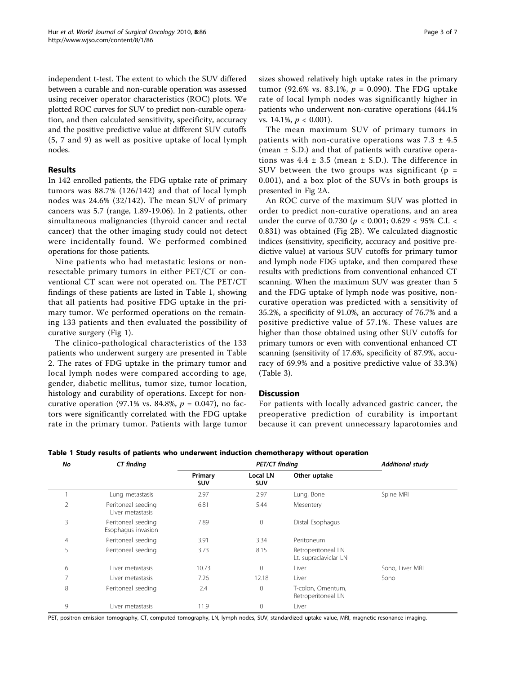independent t-test. The extent to which the SUV differed between a curable and non-curable operation was assessed using receiver operator characteristics (ROC) plots. We plotted ROC curves for SUV to predict non-curable operation, and then calculated sensitivity, specificity, accuracy and the positive predictive value at different SUV cutoffs (5, 7 and 9) as well as positive uptake of local lymph nodes.

### Results

In 142 enrolled patients, the FDG uptake rate of primary tumors was 88.7% (126/142) and that of local lymph nodes was 24.6% (32/142). The mean SUV of primary cancers was 5.7 (range, 1.89-19.06). In 2 patients, other simultaneous malignancies (thyroid cancer and rectal cancer) that the other imaging study could not detect were incidentally found. We performed combined operations for those patients.

Nine patients who had metastatic lesions or nonresectable primary tumors in either PET/CT or conventional CT scan were not operated on. The PET/CT findings of these patients are listed in Table 1, showing that all patients had positive FDG uptake in the primary tumor. We performed operations on the remaining 133 patients and then evaluated the possibility of curative surgery (Fig [1](#page-3-0)).

The clinico-pathological characteristics of the 133 patients who underwent surgery are presented in Table [2.](#page-3-0) The rates of FDG uptake in the primary tumor and local lymph nodes were compared according to age, gender, diabetic mellitus, tumor size, tumor location, histology and curability of operations. Except for noncurative operation (97.1% vs. 84.8%,  $p = 0.047$ ), no factors were significantly correlated with the FDG uptake rate in the primary tumor. Patients with large tumor sizes showed relatively high uptake rates in the primary tumor (92.6% vs. 83.1%,  $p = 0.090$ ). The FDG uptake rate of local lymph nodes was significantly higher in patients who underwent non-curative operations (44.1% vs. 14.1%,  $p < 0.001$ ).

The mean maximum SUV of primary tumors in patients with non-curative operations was  $7.3 \pm 4.5$ (mean  $\pm$  S.D.) and that of patients with curative operations was  $4.4 \pm 3.5$  (mean  $\pm$  S.D.). The difference in SUV between the two groups was significant ( $p =$ 0.001), and a box plot of the SUVs in both groups is presented in Fig [2A.](#page-4-0)

An ROC curve of the maximum SUV was plotted in order to predict non-curative operations, and an area under the curve of 0.730 ( $p < 0.001$ ; 0.629 < 95% C.I. < 0.831) was obtained (Fig [2B](#page-4-0)). We calculated diagnostic indices (sensitivity, specificity, accuracy and positive predictive value) at various SUV cutoffs for primary tumor and lymph node FDG uptake, and then compared these results with predictions from conventional enhanced CT scanning. When the maximum SUV was greater than 5 and the FDG uptake of lymph node was positive, noncurative operation was predicted with a sensitivity of 35.2%, a specificity of 91.0%, an accuracy of 76.7% and a positive predictive value of 57.1%. These values are higher than those obtained using other SUV cutoffs for primary tumors or even with conventional enhanced CT scanning (sensitivity of 17.6%, specificity of 87.9%, accuracy of 69.9% and a positive predictive value of 33.3%) (Table [3\)](#page-4-0).

## **Discussion**

For patients with locally advanced gastric cancer, the preoperative prediction of curability is important because it can prevent unnecessary laparotomies and

| No                       | <b>CT</b> finding                        |                       | <b>PET/CT</b> finding  | <b>Additional study</b>                     |                 |
|--------------------------|------------------------------------------|-----------------------|------------------------|---------------------------------------------|-----------------|
|                          |                                          | Primary<br><b>SUV</b> | Local LN<br><b>SUV</b> | Other uptake                                |                 |
|                          | Lung metastasis                          | 2.97                  | 2.97                   | Lung, Bone                                  | Spine MRI       |
| 2                        | Peritoneal seeding<br>Liver metastasis   | 6.81                  | 5.44                   | Mesentery                                   |                 |
| 3                        | Peritoneal seeding<br>Esophagus invasion | 7.89                  | $\mathbf{0}$           | Distal Esophagus                            |                 |
| $\overline{4}$           | Peritoneal seeding                       | 3.91                  | 3.34                   | Peritoneum                                  |                 |
| 5                        | Peritoneal seeding                       | 3.73                  | 8.15                   | Retroperitoneal LN<br>Lt. supraclaviclar LN |                 |
| 6                        | Liver metastasis                         | 10.73                 | $\Omega$               | Liver                                       | Sono, Liver MRI |
| $\overline{\phantom{1}}$ | Liver metastasis                         | 7.26                  | 12.18                  | Liver                                       | Sono            |
| 8                        | Peritoneal seeding                       | 2.4                   | $\Omega$               | T-colon, Omentum,<br>Retroperitoneal LN     |                 |
| 9                        | Liver metastasis                         | 11.9                  | 0                      | Liver                                       |                 |

Table 1 Study results of patients who underwent induction chemotherapy without operation

PET, positron emission tomography, CT, computed tomography, LN, lymph nodes, SUV, standardized uptake value, MRI, magnetic resonance imaging.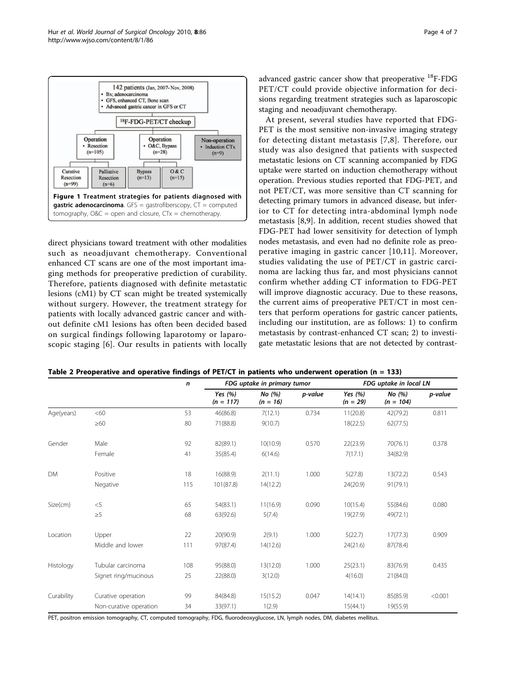<span id="page-3-0"></span>

direct physicians toward treatment with other modalities such as neoadjuvant chemotherapy. Conventional enhanced CT scans are one of the most important imaging methods for preoperative prediction of curability. Therefore, patients diagnosed with definite metastatic lesions (cM1) by CT scan might be treated systemically without surgery. However, the treatment strategy for patients with locally advanced gastric cancer and without definite cM1 lesions has often been decided based on surgical findings following laparotomy or laparoscopic staging [\[6](#page-5-0)]. Our results in patients with locally advanced gastric cancer show that preoperative 18F-FDG PET/CT could provide objective information for decisions regarding treatment strategies such as laparoscopic staging and neoadjuvant chemotherapy.

At present, several studies have reported that FDG-PET is the most sensitive non-invasive imaging strategy for detecting distant metastasis [\[7,8](#page-5-0)]. Therefore, our study was also designed that patients with suspected metastatic lesions on CT scanning accompanied by FDG uptake were started on induction chemotherapy without operation. Previous studies reported that FDG-PET, and not PET/CT, was more sensitive than CT scanning for detecting primary tumors in advanced disease, but inferior to CT for detecting intra-abdominal lymph node metastasis [[8,9\]](#page-5-0). In addition, recent studies showed that FDG-PET had lower sensitivity for detection of lymph nodes metastasis, and even had no definite role as preoperative imaging in gastric cancer [\[10,11\]](#page-6-0). Moreover, studies validating the use of PET/CT in gastric carcinoma are lacking thus far, and most physicians cannot confirm whether adding CT information to FDG-PET will improve diagnostic accuracy. Due to these reasons, the current aims of preoperative PET/CT in most centers that perform operations for gastric cancer patients, including our institution, are as follows: 1) to confirm metastasis by contrast-enhanced CT scan; 2) to investigate metastatic lesions that are not detected by contrast-

|            |                        | n   | FDG uptake in primary tumor |                         |         | FDG uptake in local LN |                          |         |
|------------|------------------------|-----|-----------------------------|-------------------------|---------|------------------------|--------------------------|---------|
|            |                        |     | Yes $(%)$<br>$(n = 117)$    | No $(% )$<br>$(n = 16)$ | p-value | Yes (%)<br>$(n = 29)$  | No $(% )$<br>$(n = 104)$ | p-value |
| Age(years) | <60                    | 53  | 46(86.8)                    | 7(12.1)                 | 0.734   | 11(20.8)               | 42(79.2)                 | 0.811   |
|            | $\geq 60$              | 80  | 71(88.8)                    | 9(10.7)                 |         | 18(22.5)               | 62(77.5)                 |         |
| Gender     | Male                   | 92  | 82(89.1)                    | 10(10.9)                | 0.570   | 22(23.9)               | 70(76.1)                 | 0.378   |
|            | Female                 | 41  | 35(85.4)                    | 6(14.6)                 |         | 7(17.1)                | 34(82.9)                 |         |
| <b>DM</b>  | Positive               | 18  | 16(88.9)                    | 2(11.1)                 | 1.000   | 5(27.8)                | 13(72.2)                 | 0.543   |
|            | Negative               | 115 | 101(87.8)                   | 14(12.2)                |         | 24(20.9)               | 91(79.1)                 |         |
| Size(cm)   | $<$ 5                  | 65  | 54(83.1)                    | 11(16.9)                | 0.090   | 10(15.4)               | 55(84.6)                 | 0.080   |
|            | $\geq 5$               | 68  | 63(92.6)                    | 5(7.4)                  |         | 19(27.9)               | 49(72.1)                 |         |
| Location   | Upper                  | 22  | 20(90.9)                    | 2(9.1)                  | 1.000   | 5(22.7)                | 17(77.3)                 | 0.909   |
|            | Middle and lower       | 111 | 97(87.4)                    | 14(12.6)                |         | 24(21.6)               | 87(78.4)                 |         |
| Histology  | Tubular carcinoma      | 108 | 95(88.0)                    | 13(12.0)                | 1.000   | 25(23.1)               | 83(76.9)                 | 0.435   |
|            | Signet ring/mucinous   | 25  | 22(88.0)                    | 3(12.0)                 |         | 4(16.0)                | 21(84.0)                 |         |
| Curability | Curative operation     | 99  | 84(84.8)                    | 15(15.2)                | 0.047   | 14(14.1)               | 85(85.9)                 | < 0.001 |
|            | Non-curative operation | 34  | 33(97.1)                    | 1(2.9)                  |         | 15(44.1)               | 19(55.9)                 |         |

Table 2 Preoperative and operative findings of PET/CT in patients who underwent operation (n = 133)

PET, positron emission tomography, CT, computed tomography, FDG, fluorodeoxyglucose, LN, lymph nodes, DM, diabetes mellitus.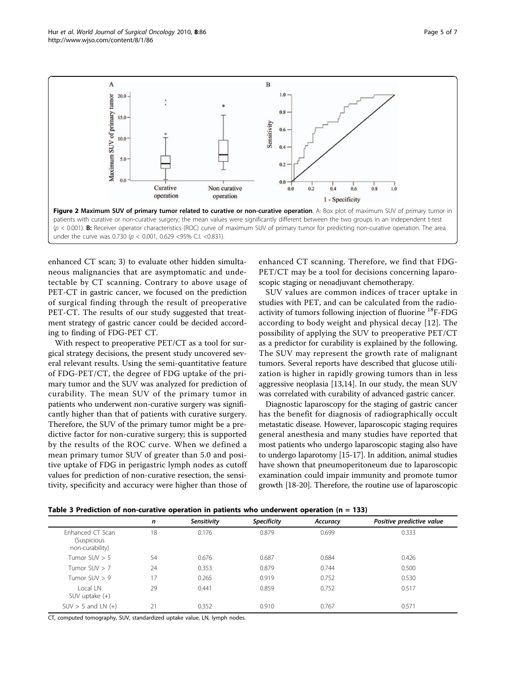enhanced CT scan; 3) to evaluate other hidden simultaneous malignancies that are asymptomatic and undetectable by CT scanning. Contrary to above usage of PET-CT in gastric cancer, we focused on the prediction of surgical finding through the result of preoperative PET-CT. The results of our study suggested that treatment strategy of gastric cancer could be decided according to finding of FDG-PET CT.

With respect to preoperative PET/CT as a tool for surgical strategy decisions, the present study uncovered several relevant results. Using the semi-quantitative feature of FDG-PET/CT, the degree of FDG uptake of the primary tumor and the SUV was analyzed for prediction of curability. The mean SUV of the primary tumor in patients who underwent non-curative surgery was significantly higher than that of patients with curative surgery. Therefore, the SUV of the primary tumor might be a predictive factor for non-curative surgery; this is supported by the results of the ROC curve. When we defined a mean primary tumor SUV of greater than 5.0 and positive uptake of FDG in perigastric lymph nodes as cutoff values for prediction of non-curative resection, the sensitivity, specificity and accuracy were higher than those of

enhanced CT scanning. Therefore, we find that FDG-PET/CT may be a tool for decisions concerning laparoscopic staging or neoadjuvant chemotherapy.

SUV values are common indices of tracer uptake in studies with PET, and can be calculated from the radioactivity of tumors following injection of fluorine 18F-FDG according to body weight and physical decay [[12](#page-6-0)]. The possibility of applying the SUV to preoperative PET/CT as a predictor for curability is explained by the following. The SUV may represent the growth rate of malignant tumors. Several reports have described that glucose utilization is higher in rapidly growing tumors than in less aggressive neoplasia [[13,14\]](#page-6-0). In our study, the mean SUV was correlated with curability of advanced gastric cancer.

Diagnostic laparoscopy for the staging of gastric cancer has the benefit for diagnosis of radiographically occult metastatic disease. However, laparoscopic staging requires general anesthesia and many studies have reported that most patients who undergo laparoscopic staging also have to undergo laparotomy [\[15-17\]](#page-6-0). In addition, animal studies have shown that pneumoperitoneum due to laparoscopic examination could impair immunity and promote tumor growth [\[18-20\]](#page-6-0). Therefore, the routine use of laparoscopic



|                                                    | n  | Sensitivity | <b>Specificity</b> | Accuracy | Positive predictive value |
|----------------------------------------------------|----|-------------|--------------------|----------|---------------------------|
| Enhanced CT Scan<br>(Suspicious<br>non-curability) | 18 | 0.176       | 0.879              | 0.699    | 0.333                     |
| Tumor $SUV > 5$                                    | 54 | 0.676       | 0.687              | 0.684    | 0.426                     |
| Tumor $SUV > 7$                                    | 24 | 0.353       | 0.879              | 0.744    | 0.500                     |
| Tumor $SUV > 9$                                    | 17 | 0.265       | 0.919              | 0.752    | 0.530                     |
| Local LN<br>SUV uptake $(+)$                       | 29 | 0.441       | 0.859              | 0.752    | 0.517                     |
| $SUV > 5$ and LN $(+)$                             | 21 | 0.352       | 0.910              | 0.767    | 0.571                     |

CT, computed tomography, SUV, standardized uptake value, LN, lymph nodes.

<span id="page-4-0"></span>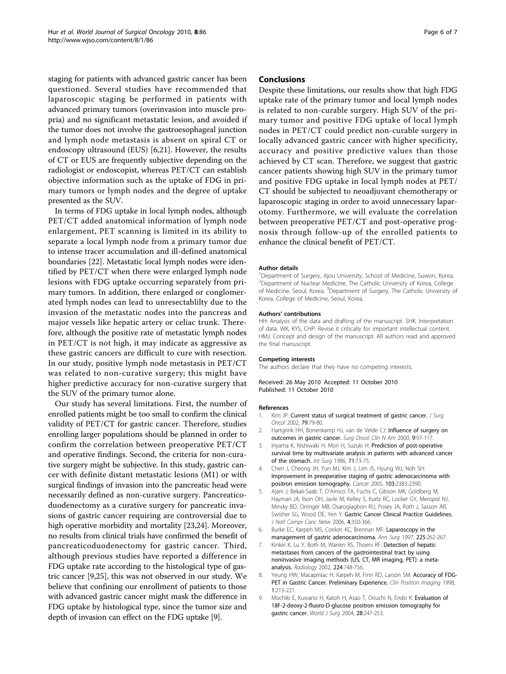<span id="page-5-0"></span>staging for patients with advanced gastric cancer has been questioned. Several studies have recommended that laparoscopic staging be performed in patients with advanced primary tumors (overinvasion into muscle propria) and no significant metastatic lesion, and avoided if the tumor does not involve the gastroesophageal junction and lymph node metastasis is absent on spiral CT or endoscopy ultrasound (EUS) [6,[21\]](#page-6-0). However, the results of CT or EUS are frequently subjective depending on the radiologist or endoscopist, whereas PET/CT can establish objective information such as the uptake of FDG in primary tumors or lymph nodes and the degree of uptake presented as the SUV.

In terms of FDG uptake in local lymph nodes, although PET/CT added anatomical information of lymph node enlargement, PET scanning is limited in its ability to separate a local lymph node from a primary tumor due to intense tracer accumulation and ill-defined anatomical boundaries [\[22](#page-6-0)]. Metastatic local lymph nodes were identified by PET/CT when there were enlarged lymph node lesions with FDG uptake occurring separately from primary tumors. In addition, there enlarged or conglomerated lymph nodes can lead to unresectablilty due to the invasion of the metastatic nodes into the pancreas and major vessels like hepatic artery or celiac trunk. Therefore, although the positive rate of metastatic lymph nodes in PET/CT is not high, it may indicate as aggressive as these gastric cancers are difficult to cure with resection. In our study, positive lymph node metastasis in PET/CT was related to non-curative surgery; this might have higher predictive accuracy for non-curative surgery that the SUV of the primary tumor alone.

Our study has several limitations. First, the number of enrolled patients might be too small to confirm the clinical validity of PET/CT for gastric cancer. Therefore, studies enrolling larger populations should be planned in order to confirm the correlation between preoperative PET/CT and operative findings. Second, the criteria for non-curative surgery might be subjective. In this study, gastric cancer with definite distant metastatic lesions (M1) or with surgical findings of invasion into the pancreatic head were necessarily defined as non-curative surgery. Pancreaticoduodenectomy as a curative surgery for pancreatic invasions of gastric cancer requiring are controversial due to high operative morbidity and mortality [\[23,24\]](#page-6-0). Moreover, no results from clinical trials have confirmed the benefit of pancreaticoduodenectomy for gastric cancer. Third, although previous studies have reported a difference in FDG uptake rate according to the histological type of gastric cancer [9,[25\]](#page-6-0), this was not observed in our study. We believe that confining our enrollment of patients to those with advanced gastric cancer might mask the difference in FDG uptake by histological type, since the tumor size and depth of invasion can effect on the FDG uptake [9].

#### Conclusions

Despite these limitations, our results show that high FDG uptake rate of the primary tumor and local lymph nodes is related to non-curable surgery. High SUV of the primary tumor and positive FDG uptake of local lymph nodes in PET/CT could predict non-curable surgery in locally advanced gastric cancer with higher specificity, accuracy and positive predictive values than those achieved by CT scan. Therefore, we suggest that gastric cancer patients showing high SUV in the primary tumor and positive FDG uptake in local lymph nodes at PET/ CT should be subjected to neoadjuvant chemotherapy or laparoscopic staging in order to avoid unnecessary laparotomy. Furthermore, we will evaluate the correlation between preoperative PET/CT and post-operative prognosis through follow-up of the enrolled patients to enhance the clinical benefit of PET/CT.

#### Author details

<sup>1</sup>Department of Surgery, Ajou University, School of Medicine, Suwon, Korea <sup>2</sup>Department of Nuclear Medicine, The Catholic University of Korea, College of Medicine, Seoul, Korea. <sup>3</sup>Department of Surgery, The Catholic University of Korea, College of Medicine, Seoul, Korea.

#### Authors' contributions

HH: Analysis of the data and drafting of the manuscript. SHK: Interpretation of data. WK, KYS, CHP: Revise it critically for important intellectual content. HMJ: Concept and design of the manuscript. All authors read and approved the final manuscript.

#### Competing interests

The authors declare that they have no competing interests.

Received: 26 May 2010 Accepted: 11 October 2010 Published: 11 October 2010

#### References

- 1. Kim JP: [Current status of surgical treatment of gastric cancer.](http://www.ncbi.nlm.nih.gov/pubmed/11815992?dopt=Abstract) J Surg Oncol 2002, 79:79-80.
- 2. Hartgrink HH, Bonenkamp HJ, van de Velde CJ: [Influence of surgery on](http://www.ncbi.nlm.nih.gov/pubmed/10601527?dopt=Abstract) [outcomes in gastric cancer.](http://www.ncbi.nlm.nih.gov/pubmed/10601527?dopt=Abstract) Surg Oncol Clin N Am 2000, 9:97-117.
- 3. Iriyama K, Nishiwaki H, Mori H, Suzuki H: [Prediction of post-operative](http://www.ncbi.nlm.nih.gov/pubmed/3733359?dopt=Abstract) [survival time by multivariate analysis in patients with advanced cancer](http://www.ncbi.nlm.nih.gov/pubmed/3733359?dopt=Abstract) [of the stomach.](http://www.ncbi.nlm.nih.gov/pubmed/3733359?dopt=Abstract) Int Surg 1986, 71:73-75.
- 4. Chen J, Cheong JH, Yun MJ, Kim J, Lim JS, Hyung WJ, Noh SH: [Improvement in preoperative staging of gastric adenocarcinoma with](http://www.ncbi.nlm.nih.gov/pubmed/15856477?dopt=Abstract) [positron emission tomography.](http://www.ncbi.nlm.nih.gov/pubmed/15856477?dopt=Abstract) Cancer 2005, 103:2383-2390.
- 5. Ajani J, Bekaii-Saab T, D'Amico TA, Fuchs C, Gibson MK, Goldberg M, Hayman JA, Ilson DH, Javle M, Kelley S, Kurtz RC, Locker GY, Meropol NJ, Minsky BD, Orringer MB, Osarogiagbon RU, Posey JA, Roth J, Sasson AR, Swisher SG, Wood DE, Yen Y: [Gastric Cancer Clinical Practice Guidelines.](http://www.ncbi.nlm.nih.gov/pubmed/16569388?dopt=Abstract) J Natl Compr Canc Netw 2006, 4:350-366.
- 6. Burke EC, Karpeh MS, Conlon KC, Brennan MF: [Laparoscopy in the](http://www.ncbi.nlm.nih.gov/pubmed/9060581?dopt=Abstract) [management of gastric adenocarcinoma.](http://www.ncbi.nlm.nih.gov/pubmed/9060581?dopt=Abstract) Ann Surg 1997, 225:262-267.
- 7. Kinkel K, Lu Y, Both M, Warren RS, Thoeni RF: [Detection of hepatic](http://www.ncbi.nlm.nih.gov/pubmed/12202709?dopt=Abstract) [metastases from cancers of the gastrointestinal tract by using](http://www.ncbi.nlm.nih.gov/pubmed/12202709?dopt=Abstract) [noninvasive imaging methods \(US, CT, MR imaging, PET\): a meta](http://www.ncbi.nlm.nih.gov/pubmed/12202709?dopt=Abstract)[analysis.](http://www.ncbi.nlm.nih.gov/pubmed/12202709?dopt=Abstract) Radiology 2002, 224:748-756.
- 8. Yeung HW, Macapinlac H, Karpeh M, Finn RD, Larson SM: [Accuracy of FDG-](http://www.ncbi.nlm.nih.gov/pubmed/14516555?dopt=Abstract)[PET in Gastric Cancer. Preliminary Experience.](http://www.ncbi.nlm.nih.gov/pubmed/14516555?dopt=Abstract) Clin Positron Imaging 1998, 1:213-221.
- 9. Mochiki E, Kuwano H, Katoh H, Asao T, Oriuchi N, Endo K: [Evaluation of](http://www.ncbi.nlm.nih.gov/pubmed/14961197?dopt=Abstract) [18F-2-deoxy-2-fluoro-D-glucose positron emission tomography for](http://www.ncbi.nlm.nih.gov/pubmed/14961197?dopt=Abstract) [gastric cancer.](http://www.ncbi.nlm.nih.gov/pubmed/14961197?dopt=Abstract) World J Surg 2004, 28:247-253.